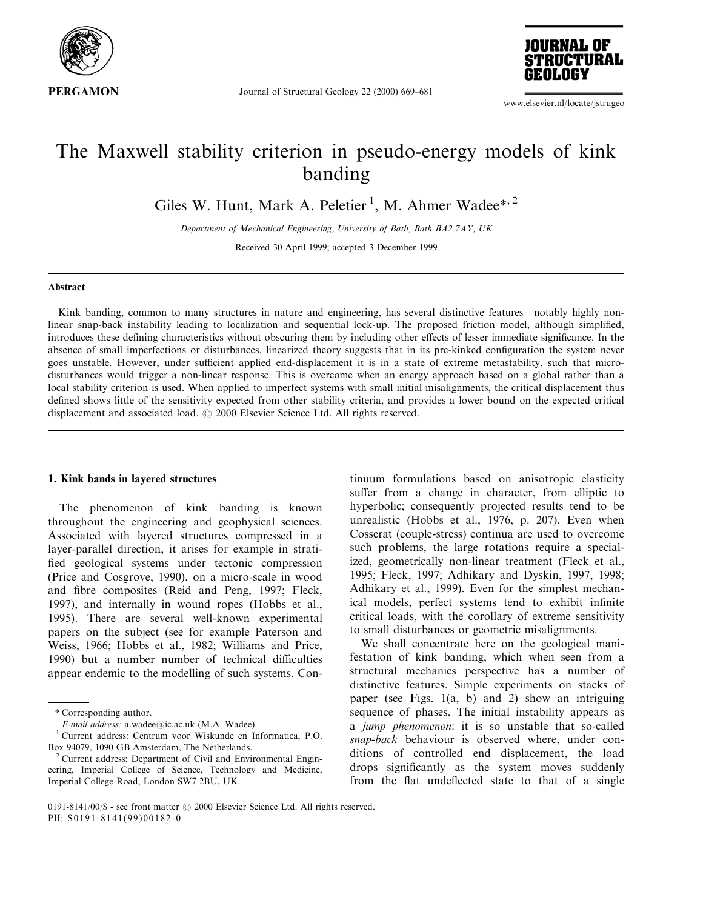

Journal of Structural Geology 22 (2000) 669-681



www.elsevier.nl/locate/jstrugeo

# The Maxwell stability criterion in pseudo-energy models of kink banding

Giles W. Hunt, Mark A. Peletier<sup>1</sup>, M. Ahmer Wadee\*<sup>, 2</sup>

Department of Mechanical Engineering, University of Bath, Bath BA2 7AY, UK Received 30 April 1999; accepted 3 December 1999

## Abstract

Kink banding, common to many structures in nature and engineering, has several distinctive features—notably highly nonlinear snap-back instability leading to localization and sequential lock-up. The proposed friction model, although simplified, introduces these defining characteristics without obscuring them by including other effects of lesser immediate significance. In the absence of small imperfections or disturbances, linearized theory suggests that in its pre-kinked configuration the system never goes unstable. However, under sufficient applied end-displacement it is in a state of extreme metastability, such that microdisturbances would trigger a non-linear response. This is overcome when an energy approach based on a global rather than a local stability criterion is used. When applied to imperfect systems with small initial misalignments, the critical displacement thus defined shows little of the sensitivity expected from other stability criteria, and provides a lower bound on the expected critical displacement and associated load.  $\oslash$  2000 Elsevier Science Ltd. All rights reserved.

#### 1. Kink bands in layered structures

The phenomenon of kink banding is known throughout the engineering and geophysical sciences. Associated with layered structures compressed in a layer-parallel direction, it arises for example in strati fied geological systems under tectonic compression (Price and Cosgrove, 1990), on a micro-scale in wood and fibre composites (Reid and Peng, 1997; Fleck, 1997), and internally in wound ropes (Hobbs et al., 1995). There are several well-known experimental papers on the subject (see for example Paterson and Weiss, 1966; Hobbs et al., 1982; Williams and Price, 1990) but a number number of technical difficulties appear endemic to the modelling of such systems. Con-

tinuum formulations based on anisotropic elasticity suffer from a change in character, from elliptic to hyperbolic; consequently projected results tend to be unrealistic (Hobbs et al., 1976, p. 207). Even when Cosserat (couple-stress) continua are used to overcome such problems, the large rotations require a specialized, geometrically non-linear treatment (Fleck et al., 1995; Fleck, 1997; Adhikary and Dyskin, 1997, 1998; Adhikary et al., 1999). Even for the simplest mechanical models, perfect systems tend to exhibit infinite critical loads, with the corollary of extreme sensitivity to small disturbances or geometric misalignments.

We shall concentrate here on the geological manifestation of kink banding, which when seen from a structural mechanics perspective has a number of distinctive features. Simple experiments on stacks of paper (see Figs. 1(a, b) and 2) show an intriguing sequence of phases. The initial instability appears as a jump phenomenon: it is so unstable that so-called snap-back behaviour is observed where, under conditions of controlled end displacement, the load drops significantly as the system moves suddenly from the flat undeflected state to that of a single

<sup>\*</sup> Corresponding author.

E-mail address: a.wadee@ic.ac.uk (M.A. Wadee).

<sup>1</sup> Current address: Centrum voor Wiskunde en Informatica, P.O.

Box 94079, 1090 GB Amsterdam, The Netherlands. <sup>2</sup> Current address: Department of Civil and Environmental Engineering, Imperial College of Science, Technology and Medicine, Imperial College Road, London SW7 2BU, UK.

<sup>0191-8141/00/\$ -</sup> see front matter  $\odot$  2000 Elsevier Science Ltd. All rights reserved. PII:  $S0191 - 8141(99)00182 - 0$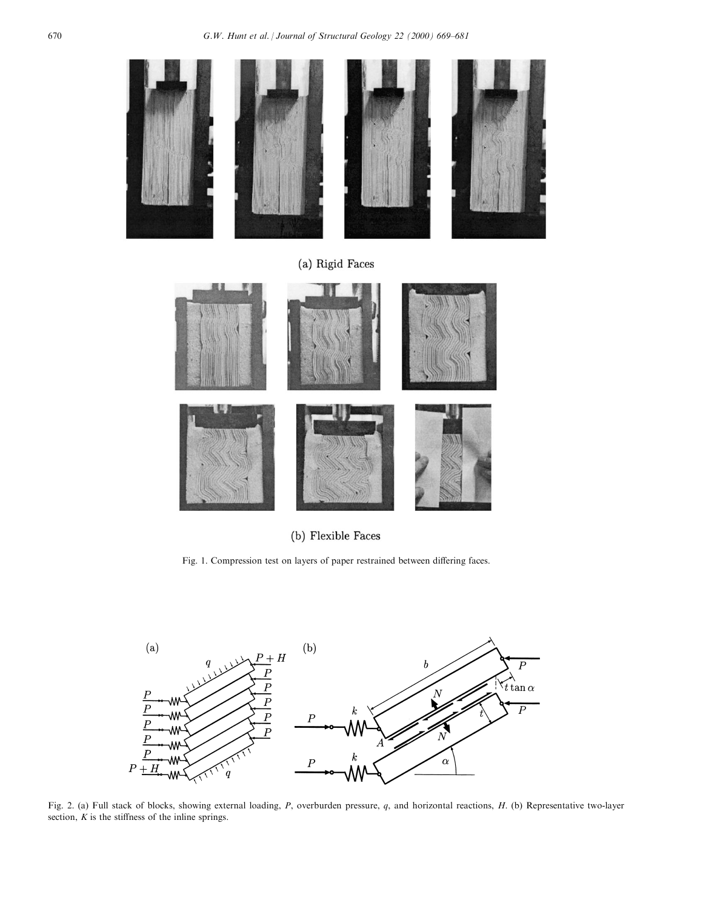

(b) Flexible Faces

Fig. 1. Compression test on layers of paper restrained between differing faces.



Fig. 2. (a) Full stack of blocks, showing external loading,  $P$ , overburden pressure,  $q$ , and horizontal reactions,  $H$ . (b) Representative two-layer section,  $K$  is the stiffness of the inline springs.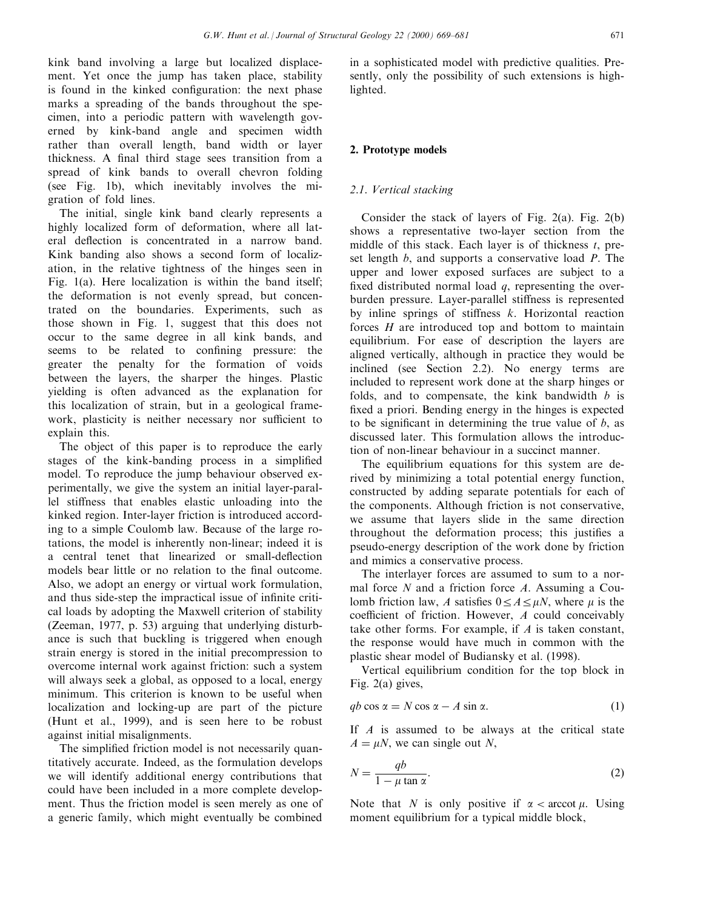kink band involving a large but localized displacement. Yet once the jump has taken place, stability is found in the kinked configuration: the next phase marks a spreading of the bands throughout the specimen, into a periodic pattern with wavelength governed by kink-band angle and specimen width rather than overall length, band width or layer thickness. A final third stage sees transition from a spread of kink bands to overall chevron folding (see Fig. 1b), which inevitably involves the migration of fold lines.

The initial, single kink band clearly represents a highly localized form of deformation, where all lateral deflection is concentrated in a narrow band. Kink banding also shows a second form of localization, in the relative tightness of the hinges seen in Fig. 1(a). Here localization is within the band itself; the deformation is not evenly spread, but concentrated on the boundaries. Experiments, such as those shown in Fig. 1, suggest that this does not occur to the same degree in all kink bands, and seems to be related to confining pressure: the greater the penalty for the formation of voids between the layers, the sharper the hinges. Plastic yielding is often advanced as the explanation for this localization of strain, but in a geological framework, plasticity is neither necessary nor sufficient to explain this.

The object of this paper is to reproduce the early stages of the kink-banding process in a simplified model. To reproduce the jump behaviour observed experimentally, we give the system an initial layer-parallel stiness that enables elastic unloading into the kinked region. Inter-layer friction is introduced according to a simple Coulomb law. Because of the large rotations, the model is inherently non-linear; indeed it is a central tenet that linearized or small-deflection models bear little or no relation to the final outcome. Also, we adopt an energy or virtual work formulation, and thus side-step the impractical issue of infinite critical loads by adopting the Maxwell criterion of stability (Zeeman, 1977, p. 53) arguing that underlying disturbance is such that buckling is triggered when enough strain energy is stored in the initial precompression to overcome internal work against friction: such a system will always seek a global, as opposed to a local, energy minimum. This criterion is known to be useful when localization and locking-up are part of the picture (Hunt et al., 1999), and is seen here to be robust against initial misalignments.

The simplified friction model is not necessarily quantitatively accurate. Indeed, as the formulation develops we will identify additional energy contributions that could have been included in a more complete development. Thus the friction model is seen merely as one of a generic family, which might eventually be combined

in a sophisticated model with predictive qualities. Presently, only the possibility of such extensions is highlighted.

# 2. Prototype models

# 2.1. Vertical stacking

Consider the stack of layers of Fig. 2(a). Fig. 2(b) shows a representative two-layer section from the middle of this stack. Each layer is of thickness  $t$ , preset length  $b$ , and supports a conservative load  $P$ . The upper and lower exposed surfaces are subject to a fixed distributed normal load  $q$ , representing the overburden pressure. Layer-parallel stiffness is represented by inline springs of stiffness  $k$ . Horizontal reaction forces  $H$  are introduced top and bottom to maintain equilibrium. For ease of description the layers are aligned vertically, although in practice they would be inclined (see Section 2.2). No energy terms are included to represent work done at the sharp hinges or folds, and to compensate, the kink bandwidth  $b$  is fixed a priori. Bending energy in the hinges is expected to be significant in determining the true value of  $b$ , as discussed later. This formulation allows the introduction of non-linear behaviour in a succinct manner.

The equilibrium equations for this system are derived by minimizing a total potential energy function, constructed by adding separate potentials for each of the components. Although friction is not conservative, we assume that layers slide in the same direction throughout the deformation process; this justifies a pseudo-energy description of the work done by friction and mimics a conservative process.

The interlayer forces are assumed to sum to a normal force  $N$  and a friction force  $A$ . Assuming a Coulomb friction law, A satisfies  $0 \le A \le \mu N$ , where  $\mu$  is the coefficient of friction. However,  $A$  could conceivably take other forms. For example, if A is taken constant, the response would have much in common with the plastic shear model of Budiansky et al. (1998).

Vertical equilibrium condition for the top block in Fig. 2(a) gives,

$$
qb\cos\alpha = N\cos\alpha - A\sin\alpha. \tag{1}
$$

If  $A$  is assumed to be always at the critical state  $A = \mu N$ , we can single out N,

$$
N = \frac{qb}{1 - \mu \tan \alpha}.
$$
 (2)

Note that N is only positive if  $\alpha < \arccot \mu$ . Using moment equilibrium for a typical middle block,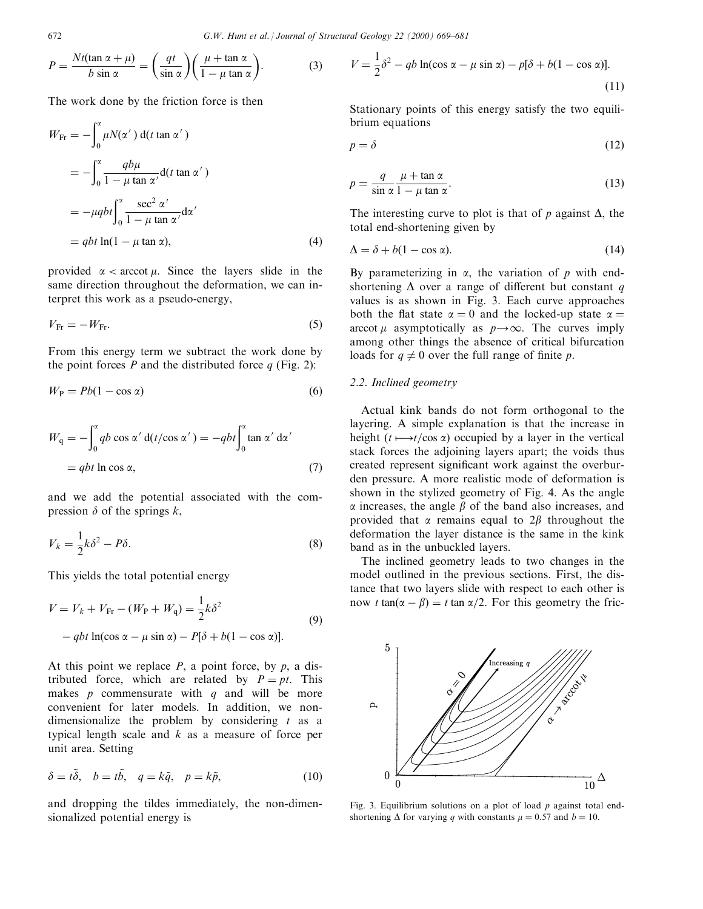$$
P = \frac{Nt(\tan \alpha + \mu)}{b \sin \alpha} = \left(\frac{qt}{\sin \alpha}\right) \left(\frac{\mu + \tan \alpha}{1 - \mu \tan \alpha}\right).
$$
 (3)

The work done by the friction force is then

$$
W_{\text{Fr}} = -\int_0^{\alpha} \mu N(\alpha') d(t \tan \alpha')
$$
  
= 
$$
-\int_0^{\alpha} \frac{q b \mu}{1 - \mu \tan \alpha'} d(t \tan \alpha')
$$
  
= 
$$
-\mu q b t \int_0^{\alpha} \frac{\sec^2 \alpha'}{1 - \mu \tan \alpha'} d\alpha'
$$
  
= 
$$
q b t \ln(1 - \mu \tan \alpha), \qquad (4)
$$

provided  $\alpha < \text{arccot }\mu$ . Since the layers slide in the same direction throughout the deformation, we can interpret this work as a pseudo-energy,

$$
V_{\text{Fr}} = -W_{\text{Fr}}.\tag{5}
$$

From this energy term we subtract the work done by the point forces  $P$  and the distributed force  $q$  (Fig. 2):

$$
W_{\rm P} = Pb(1 - \cos \alpha) \tag{6}
$$

$$
W_{q} = -\int_{0}^{\alpha} qb \cos \alpha' d(t/cos \alpha') = -qbt \int_{0}^{\alpha} \tan \alpha' d\alpha'
$$
  
= qbt ln cos  $\alpha$ , (7)

and we add the potential associated with the compression  $\delta$  of the springs k,

$$
V_k = \frac{1}{2}k\delta^2 - P\delta.
$$
\n(8)

This yields the total potential energy

$$
V = V_k + V_{\text{Fr}} - (W_{\text{P}} + W_{\text{q}}) = \frac{1}{2}k\delta^2
$$
  
- qbt ln(cos \alpha - \mu sin \alpha) - P[\delta + b(1 - cos \alpha)]. (9)

At this point we replace  $P$ , a point force, by  $p$ , a distributed force, which are related by  $P = pt$ . This makes  $p$  commensurate with  $q$  and will be more convenient for later models. In addition, we nondimensionalize the problem by considering  $t$  as a typical length scale and  $k$  as a measure of force per unit area. Setting

$$
\delta = t\tilde{\delta}, \quad b = t\tilde{b}, \quad q = k\tilde{q}, \quad p = k\tilde{p}, \tag{10}
$$

and dropping the tildes immediately, the non-dimensionalized potential energy is

$$
V = \frac{1}{2}\delta^2 - qb \ln(\cos \alpha - \mu \sin \alpha) - p[\delta + b(1 - \cos \alpha)].
$$
\n(11)

Stationary points of this energy satisfy the two equilibrium equations

$$
p = \delta \tag{12}
$$

$$
p = \frac{q}{\sin \alpha} \frac{\mu + \tan \alpha}{1 - \mu \tan \alpha}.
$$
 (13)

The interesting curve to plot is that of p against  $\Delta$ , the total end-shortening given by

$$
\Delta = \delta + b(1 - \cos \alpha). \tag{14}
$$

By parameterizing in  $\alpha$ , the variation of p with endshortening  $\Delta$  over a range of different but constant q values is as shown in Fig. 3. Each curve approaches both the flat state  $\alpha = 0$  and the locked-up state  $\alpha =$ arccot  $\mu$  asymptotically as  $p \rightarrow \infty$ . The curves imply among other things the absence of critical bifurcation loads for  $q \neq 0$  over the full range of finite p.

# 2.2. Inclined geometry

Actual kink bands do not form orthogonal to the layering. A simple explanation is that the increase in height  $(t \mapsto t / \cos \alpha)$  occupied by a layer in the vertical stack forces the adjoining layers apart; the voids thus created represent significant work against the overburden pressure. A more realistic mode of deformation is shown in the stylized geometry of Fig. 4. As the angle  $\alpha$  increases, the angle  $\beta$  of the band also increases, and provided that  $\alpha$  remains equal to  $2\beta$  throughout the deformation the layer distance is the same in the kink band as in the unbuckled layers.

The inclined geometry leads to two changes in the model outlined in the previous sections. First, the distance that two layers slide with respect to each other is now t tan( $\alpha - \beta$ ) = t tan  $\alpha/2$ . For this geometry the fric-



Fig. 3. Equilibrium solutions on a plot of load  $p$  against total endshortening  $\Delta$  for varying q with constants  $\mu = 0.57$  and  $b = 10$ .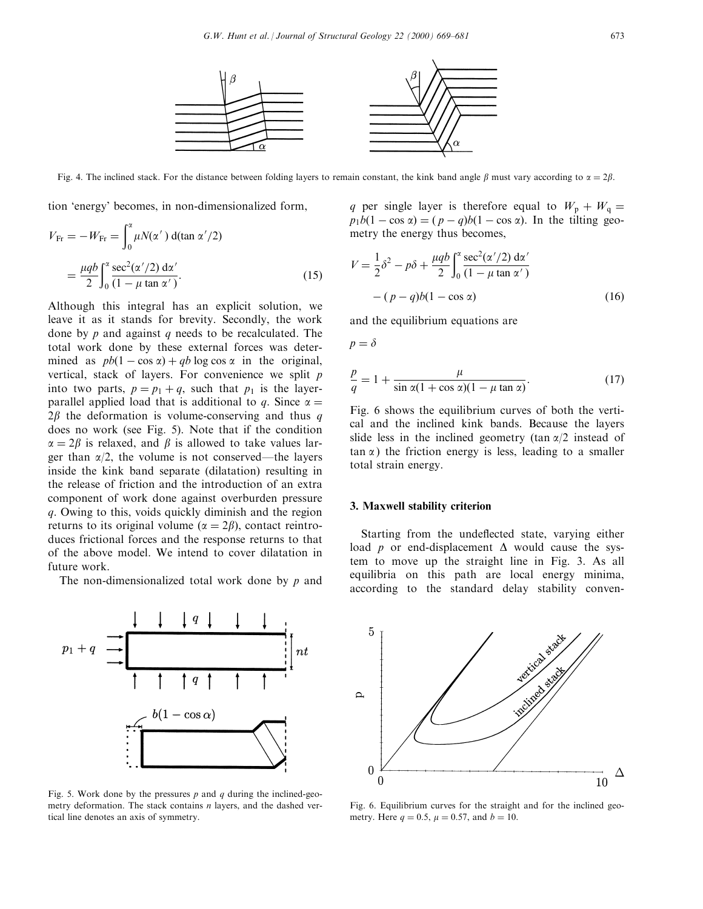

Fig. 4. The inclined stack. For the distance between folding layers to remain constant, the kink band angle  $\beta$  must vary according to  $\alpha = 2\beta$ .

tion `energy' becomes, in non-dimensionalized form,

$$
V_{\text{Fr}} = -W_{\text{Fr}} = \int_0^{\alpha} \mu N(\alpha') \, d(\tan \alpha'/2)
$$

$$
= \frac{\mu q b}{2} \int_0^{\alpha} \frac{\sec^2(\alpha'/2) \, d\alpha'}{(1 - \mu \tan \alpha')}.
$$
(15)

Although this integral has an explicit solution, we leave it as it stands for brevity. Secondly, the work done by  $p$  and against  $q$  needs to be recalculated. The total work done by these external forces was determined as  $pb(1 - \cos \alpha) + qb \log \cos \alpha$  in the original, vertical, stack of layers. For convenience we split  $p$ into two parts,  $p = p_1 + q$ , such that  $p_1$  is the layerparallel applied load that is additional to q. Since  $\alpha =$  $2\beta$  the deformation is volume-conserving and thus q does no work (see Fig. 5). Note that if the condition  $\alpha = 2\beta$  is relaxed, and  $\beta$  is allowed to take values larger than  $\alpha/2$ , the volume is not conserved—the layers inside the kink band separate (dilatation) resulting in the release of friction and the introduction of an extra component of work done against overburden pressure q. Owing to this, voids quickly diminish and the region returns to its original volume ( $\alpha = 2\beta$ ), contact reintroduces frictional forces and the response returns to that of the above model. We intend to cover dilatation in future work.

The non-dimensionalized total work done by  $p$  and



Fig. 5. Work done by the pressures  $p$  and  $q$  during the inclined-geometry deformation. The stack contains  $n$  layers, and the dashed vertical line denotes an axis of symmetry.

q per single layer is therefore equal to  $W_p + W_q =$  $p_1b(1 - \cos \alpha) = (p - q)b(1 - \cos \alpha)$ . In the tilting geometry the energy thus becomes,

$$
V = \frac{1}{2}\delta^2 - p\delta + \frac{\mu q b}{2} \int_0^\alpha \frac{\sec^2(\alpha'/2) \, d\alpha'}{(1 - \mu \tan \alpha')}
$$
  
-  $(p - q)b(1 - \cos \alpha)$  (16)

and the equilibrium equations are

$$
p=\delta
$$

$$
\frac{p}{q} = 1 + \frac{\mu}{\sin \alpha (1 + \cos \alpha)(1 - \mu \tan \alpha)}.
$$
 (17)

Fig. 6 shows the equilibrium curves of both the vertical and the inclined kink bands. Because the layers slide less in the inclined geometry (tan  $\alpha/2$  instead of  $tan \alpha$ ) the friction energy is less, leading to a smaller total strain energy.

#### 3. Maxwell stability criterion

Starting from the undeflected state, varying either load p or end-displacement  $\Delta$  would cause the system to move up the straight line in Fig. 3. As all equilibria on this path are local energy minima, according to the standard delay stability conven-



Fig. 6. Equilibrium curves for the straight and for the inclined geometry. Here  $q = 0.5$ ,  $\mu = 0.57$ , and  $b = 10$ .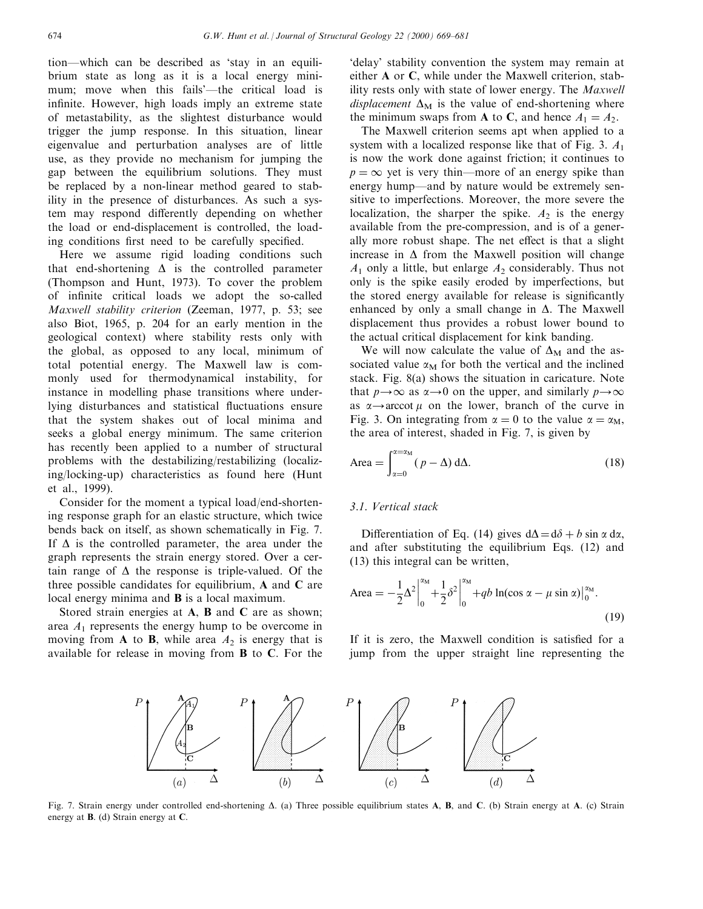tion—which can be described as 'stay in an equilibrium state as long as it is a local energy minimum; move when this fails'—the critical load is infinite. However, high loads imply an extreme state of metastability, as the slightest disturbance would trigger the jump response. In this situation, linear eigenvalue and perturbation analyses are of little use, as they provide no mechanism for jumping the gap between the equilibrium solutions. They must be replaced by a non-linear method geared to stability in the presence of disturbances. As such a system may respond differently depending on whether the load or end-displacement is controlled, the loading conditions first need to be carefully specified.

Here we assume rigid loading conditions such that end-shortening  $\Delta$  is the controlled parameter (Thompson and Hunt, 1973). To cover the problem of infinite critical loads we adopt the so-called Maxwell stability criterion (Zeeman, 1977, p. 53; see also Biot, 1965, p. 204 for an early mention in the geological context) where stability rests only with the global, as opposed to any local, minimum of total potential energy. The Maxwell law is commonly used for thermodynamical instability, for instance in modelling phase transitions where underlying disturbances and statistical fluctuations ensure that the system shakes out of local minima and seeks a global energy minimum. The same criterion has recently been applied to a number of structural problems with the destabilizing/restabilizing (localizing/locking-up) characteristics as found here (Hunt et al., 1999).

Consider for the moment a typical load/end-shortening response graph for an elastic structure, which twice bends back on itself, as shown schematically in Fig. 7. If  $\Delta$  is the controlled parameter, the area under the graph represents the strain energy stored. Over a certain range of  $\Delta$  the response is triple-valued. Of the three possible candidates for equilibrium, A and C are local energy minima and **B** is a local maximum.

Stored strain energies at A, B and C are as shown; area  $A_1$  represents the energy hump to be overcome in moving from A to B, while area  $A_2$  is energy that is available for release in moving from B to C. For the

`delay' stability convention the system may remain at either A or C, while under the Maxwell criterion, stability rests only with state of lower energy. The Maxwell displacement  $\Delta_M$  is the value of end-shortening where the minimum swaps from **A** to **C**, and hence  $A_1 = A_2$ .

The Maxwell criterion seems apt when applied to a system with a localized response like that of Fig. 3.  $A_1$ is now the work done against friction; it continues to  $p = \infty$  yet is very thin—more of an energy spike than energy hump—and by nature would be extremely sensitive to imperfections. Moreover, the more severe the localization, the sharper the spike.  $A_2$  is the energy available from the pre-compression, and is of a generally more robust shape. The net effect is that a slight increase in  $\Delta$  from the Maxwell position will change  $A_1$  only a little, but enlarge  $A_2$  considerably. Thus not only is the spike easily eroded by imperfections, but the stored energy available for release is significantly enhanced by only a small change in  $\Delta$ . The Maxwell displacement thus provides a robust lower bound to the actual critical displacement for kink banding.

We will now calculate the value of  $\Delta_M$  and the associated value  $\alpha_M$  for both the vertical and the inclined stack. Fig. 8(a) shows the situation in caricature. Note that  $p \rightarrow \infty$  as  $\alpha \rightarrow 0$  on the upper, and similarly  $p \rightarrow \infty$ as  $\alpha \rightarrow$  arccot  $\mu$  on the lower, branch of the curve in Fig. 3. On integrating from  $\alpha = 0$  to the value  $\alpha = \alpha_M$ , the area of interest, shaded in Fig. 7, is given by

$$
\text{Area} = \int_{\alpha=0}^{\alpha=\alpha_{\text{M}}} (p-\Delta) \, \text{d}\Delta. \tag{18}
$$

## 3.1. Vertical stack

Differentiation of Eq. (14) gives  $d\Delta = d\delta + b \sin \alpha \, d\alpha$ , and after substituting the equilibrium Eqs. (12) and (13) this integral can be written,

$$
\text{Area} = -\frac{1}{2}\Delta^2 \Big|_0^{\alpha_M} + \frac{1}{2}\delta^2 \Big|_0^{\alpha_M} + qb \ln(\cos \alpha - \mu \sin \alpha) \Big|_0^{\alpha_M}.
$$
\n(19)

If it is zero, the Maxwell condition is satisfied for a jump from the upper straight line representing the



Fig. 7. Strain energy under controlled end-shortening  $\Delta$ . (a) Three possible equilibrium states **A, B,** and **C**. (b) Strain energy at **A**. (c) Strain energy at B. (d) Strain energy at C.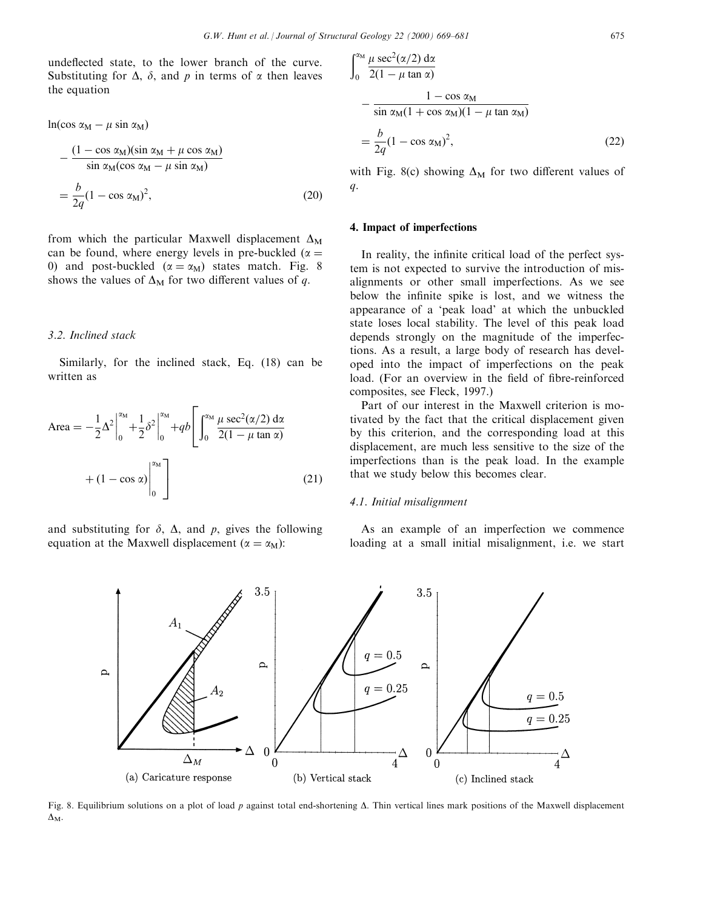undeflected state, to the lower branch of the curve. Substituting for  $\Delta$ ,  $\delta$ , and p in terms of  $\alpha$  then leaves the equation

$$
\ln(\cos \alpha_{\rm M} - \mu \sin \alpha_{\rm M})
$$
  
 
$$
- \frac{(1 - \cos \alpha_{\rm M})(\sin \alpha_{\rm M} + \mu \cos \alpha_{\rm M})}{\sin \alpha_{\rm M} (\cos \alpha_{\rm M} - \mu \sin \alpha_{\rm M})}
$$
  

$$
= \frac{b}{2q} (1 - \cos \alpha_{\rm M})^2,
$$
 (20)

from which the particular Maxwell displacement  $\Delta_M$ can be found, where energy levels in pre-buckled ( $\alpha$  = 0) and post-buckled ( $\alpha = \alpha_M$ ) states match. Fig. 8 shows the values of  $\Delta_M$  for two different values of q.

#### 3.2. Inclined stack

Similarly, for the inclined stack, Eq. (18) can be written as

$$
\text{Area} = -\frac{1}{2}\Delta^2 \Big|_0^{\alpha_\text{M}} + \frac{1}{2}\delta^2 \Big|_0^{\alpha_\text{M}} + qb \Bigg[ \int_0^{\alpha_\text{M}} \frac{\mu \sec^2(\alpha/2) \, \text{d}\alpha}{2(1 - \mu \tan \alpha)} + (1 - \cos \alpha) \Big|_0^{\alpha_\text{M}} \Bigg] \tag{21}
$$

and substituting for  $\delta$ ,  $\Delta$ , and p, gives the following equation at the Maxwell displacement ( $\alpha = \alpha_M$ ):

$$
\int_0^{\alpha_M} \frac{\mu \sec^2(\alpha/2) \, \mathrm{d}\alpha}{2(1 - \mu \tan \alpha)} - \frac{1 - \cos \alpha_M}{\sin \alpha_M (1 + \cos \alpha_M)(1 - \mu \tan \alpha_M)} = \frac{b}{2q} (1 - \cos \alpha_M)^2,
$$
\n(22)

with Fig. 8(c) showing  $\Delta_M$  for two different values of  $q$ .

#### 4. Impact of imperfections

In reality, the infinite critical load of the perfect system is not expected to survive the introduction of misalignments or other small imperfections. As we see below the infinite spike is lost, and we witness the appearance of a `peak load' at which the unbuckled state loses local stability. The level of this peak load depends strongly on the magnitude of the imperfections. As a result, a large body of research has developed into the impact of imperfections on the peak load. (For an overview in the field of fibre-reinforced composites, see Fleck, 1997.)

Part of our interest in the Maxwell criterion is motivated by the fact that the critical displacement given by this criterion, and the corresponding load at this displacement, are much less sensitive to the size of the imperfections than is the peak load. In the example that we study below this becomes clear.

#### 4.1. Initial misalignment

As an example of an imperfection we commence loading at a small initial misalignment, i.e. we start



Fig. 8. Equilibrium solutions on a plot of load p against total end-shortening  $\Delta$ . Thin vertical lines mark positions of the Maxwell displacement  $\Delta_M$ .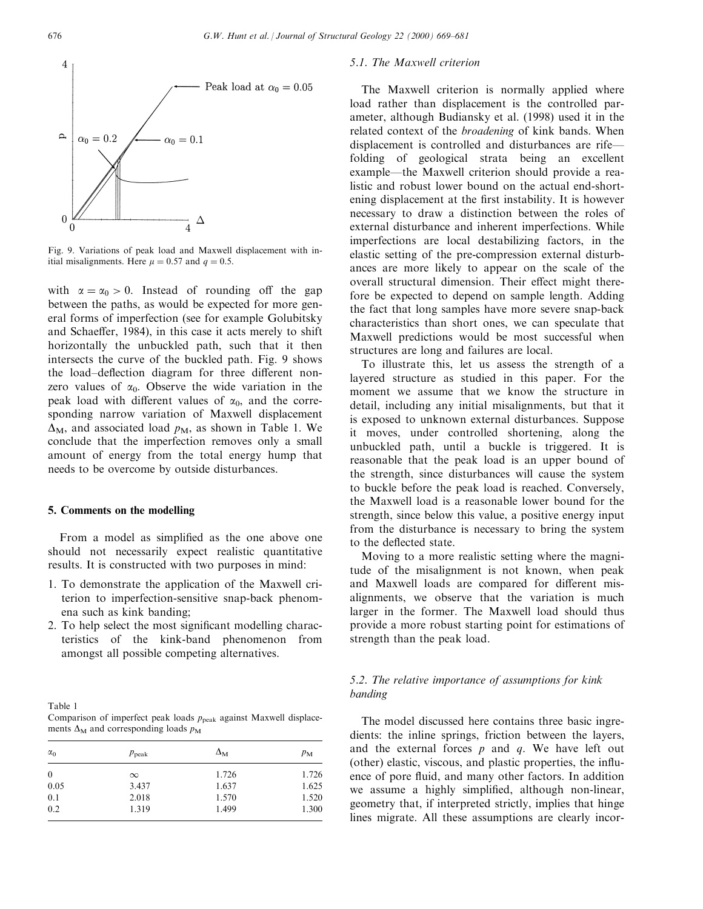

Fig. 9. Variations of peak load and Maxwell displacement with initial misalignments. Here  $\mu = 0.57$  and  $q = 0.5$ .

with  $\alpha = \alpha_0 > 0$ . Instead of rounding off the gap between the paths, as would be expected for more general forms of imperfection (see for example Golubitsky and Schaeffer, 1984), in this case it acts merely to shift horizontally the unbuckled path, such that it then intersects the curve of the buckled path. Fig. 9 shows the load-deflection diagram for three different nonzero values of  $\alpha_0$ . Observe the wide variation in the peak load with different values of  $\alpha_0$ , and the corresponding narrow variation of Maxwell displacement  $\Delta_M$ , and associated load  $p_M$ , as shown in Table 1. We conclude that the imperfection removes only a small amount of energy from the total energy hump that needs to be overcome by outside disturbances.

#### 5. Comments on the modelling

From a model as simplified as the one above one should not necessarily expect realistic quantitative results. It is constructed with two purposes in mind:

- 1. To demonstrate the application of the Maxwell criterion to imperfection-sensitive snap-back phenomena such as kink banding;
- 2. To help select the most significant modelling characteristics of the kink-band phenomenon from amongst all possible competing alternatives.

| Table 1                                                                 |  |  |  |
|-------------------------------------------------------------------------|--|--|--|
| Comparison of imperfect peak loads $p_{peak}$ against Maxwell displace- |  |  |  |
| ments $\Delta_M$ and corresponding loads $p_M$                          |  |  |  |

| $\alpha_0$   | $p_{\rm peak}$ | $\Delta_{\rm M}$ | $p_M$ |
|--------------|----------------|------------------|-------|
| $\mathbf{0}$ | $\infty$       | 1.726            | 1.726 |
| 0.05         | 3.437          | 1.637            | 1.625 |
| 0.1          | 2.018          | 1.570            | 1.520 |
| 0.2          | 1.319          | 1.499            | 1.300 |

#### 5.1. The Maxwell criterion

The Maxwell criterion is normally applied where load rather than displacement is the controlled parameter, although Budiansky et al. (1998) used it in the related context of the broadening of kink bands. When displacement is controlled and disturbances are rifefolding of geological strata being an excellent example—the Maxwell criterion should provide a realistic and robust lower bound on the actual end-shortening displacement at the first instability. It is however necessary to draw a distinction between the roles of external disturbance and inherent imperfections. While imperfections are local destabilizing factors, in the elastic setting of the pre-compression external disturbances are more likely to appear on the scale of the overall structural dimension. Their effect might therefore be expected to depend on sample length. Adding the fact that long samples have more severe snap-back characteristics than short ones, we can speculate that Maxwell predictions would be most successful when structures are long and failures are local.

To illustrate this, let us assess the strength of a layered structure as studied in this paper. For the moment we assume that we know the structure in detail, including any initial misalignments, but that it is exposed to unknown external disturbances. Suppose it moves, under controlled shortening, along the unbuckled path, until a buckle is triggered. It is reasonable that the peak load is an upper bound of the strength, since disturbances will cause the system to buckle before the peak load is reached. Conversely, the Maxwell load is a reasonable lower bound for the strength, since below this value, a positive energy input from the disturbance is necessary to bring the system to the deflected state.

Moving to a more realistic setting where the magnitude of the misalignment is not known, when peak and Maxwell loads are compared for different misalignments, we observe that the variation is much larger in the former. The Maxwell load should thus provide a more robust starting point for estimations of strength than the peak load.

# 5.2. The relative importance of assumptions for kink banding

The model discussed here contains three basic ingredients: the inline springs, friction between the layers, and the external forces  $p$  and  $q$ . We have left out (other) elastic, viscous, and plastic properties, the influence of pore fluid, and many other factors. In addition we assume a highly simplified, although non-linear, geometry that, if interpreted strictly, implies that hinge lines migrate. All these assumptions are clearly incor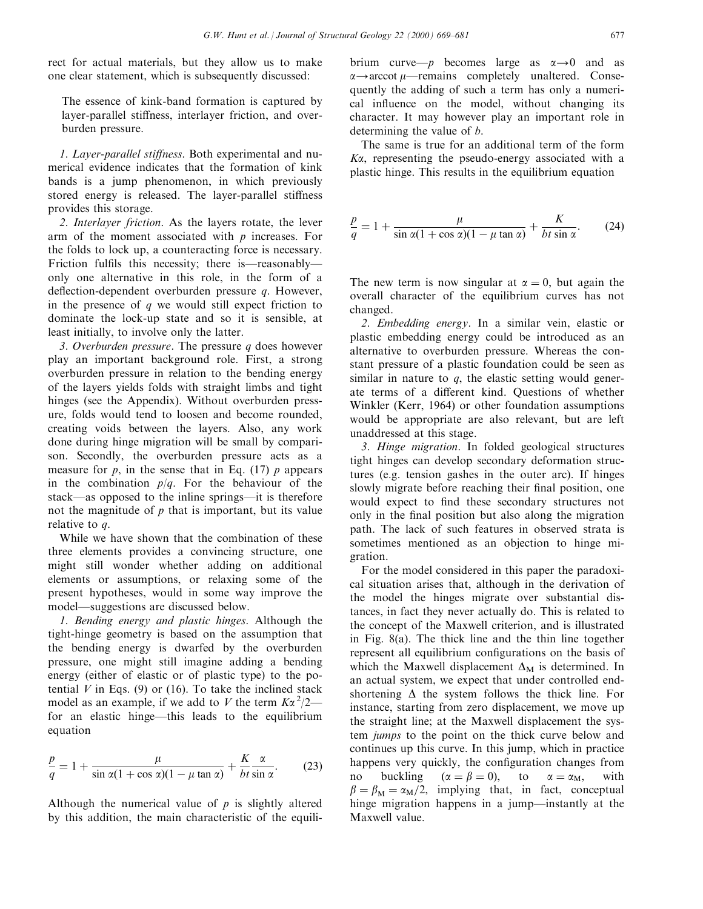rect for actual materials, but they allow us to make one clear statement, which is subsequently discussed:

The essence of kink-band formation is captured by layer-parallel stiffness, interlayer friction, and overburden pressure.

1. Layer-parallel stiffness. Both experimental and numerical evidence indicates that the formation of kink bands is a jump phenomenon, in which previously stored energy is released. The layer-parallel stiffness provides this storage.

2. Interlayer friction. As the layers rotate, the lever arm of the moment associated with  $p$  increases. For the folds to lock up, a counteracting force is necessary. Friction fulfils this necessity; there is—reasonably only one alternative in this role, in the form of a deflection-dependent overburden pressure  $q$ . However, in the presence of  $q$  we would still expect friction to dominate the lock-up state and so it is sensible, at least initially, to involve only the latter.

3. Overburden pressure. The pressure  $q$  does however play an important background role. First, a strong overburden pressure in relation to the bending energy of the layers yields folds with straight limbs and tight hinges (see the Appendix). Without overburden pressure, folds would tend to loosen and become rounded, creating voids between the layers. Also, any work done during hinge migration will be small by comparison. Secondly, the overburden pressure acts as a measure for  $p$ , in the sense that in Eq. (17)  $p$  appears in the combination  $p/q$ . For the behaviour of the stack—as opposed to the inline springs—it is therefore not the magnitude of  $p$  that is important, but its value relative to q.

While we have shown that the combination of these three elements provides a convincing structure, one might still wonder whether adding on additional elements or assumptions, or relaxing some of the present hypotheses, would in some way improve the model—suggestions are discussed below.

1. Bending energy and plastic hinges. Although the tight-hinge geometry is based on the assumption that the bending energy is dwarfed by the overburden pressure, one might still imagine adding a bending energy (either of elastic or of plastic type) to the potential  $V$  in Eqs. (9) or (16). To take the inclined stack model as an example, if we add to V the term  $K\alpha^2/2$  for an elastic hinge-this leads to the equilibrium equation

$$
\frac{p}{q} = 1 + \frac{\mu}{\sin \alpha (1 + \cos \alpha)(1 - \mu \tan \alpha)} + \frac{K}{bt} \frac{\alpha}{\sin \alpha}.
$$
 (23)

Although the numerical value of  $p$  is slightly altered by this addition, the main characteristic of the equili-

brium curve—p becomes large as  $\alpha \rightarrow 0$  and as  $\alpha \rightarrow$  arccot  $\mu$ —remains completely unaltered. Consequently the adding of such a term has only a numerical influence on the model, without changing its character. It may however play an important role in determining the value of b.

The same is true for an additional term of the form  $K\alpha$ , representing the pseudo-energy associated with a plastic hinge. This results in the equilibrium equation

$$
\frac{p}{q} = 1 + \frac{\mu}{\sin \alpha (1 + \cos \alpha)(1 - \mu \tan \alpha)} + \frac{K}{bt \sin \alpha}.
$$
 (24)

The new term is now singular at  $\alpha = 0$ , but again the overall character of the equilibrium curves has not changed.

2. Embedding energy. In a similar vein, elastic or plastic embedding energy could be introduced as an alternative to overburden pressure. Whereas the constant pressure of a plastic foundation could be seen as similar in nature to  $q$ , the elastic setting would generate terms of a different kind. Questions of whether Winkler (Kerr, 1964) or other foundation assumptions would be appropriate are also relevant, but are left unaddressed at this stage.

3. Hinge migration. In folded geological structures tight hinges can develop secondary deformation structures (e.g. tension gashes in the outer arc). If hinges slowly migrate before reaching their final position, one would expect to find these secondary structures not only in the final position but also along the migration path. The lack of such features in observed strata is sometimes mentioned as an objection to hinge migration.

For the model considered in this paper the paradoxical situation arises that, although in the derivation of the model the hinges migrate over substantial distances, in fact they never actually do. This is related to the concept of the Maxwell criterion, and is illustrated in Fig. 8(a). The thick line and the thin line together represent all equilibrium configurations on the basis of which the Maxwell displacement  $\Delta_M$  is determined. In an actual system, we expect that under controlled endshortening  $\Delta$  the system follows the thick line. For instance, starting from zero displacement, we move up the straight line; at the Maxwell displacement the system jumps to the point on the thick curve below and continues up this curve. In this jump, which in practice happens very quickly, the configuration changes from no buckling  $(\alpha = \beta = 0)$ , to  $\alpha = \alpha_M$ , with  $\beta = \beta_M = \alpha_M/2$ , implying that, in fact, conceptual hinge migration happens in a jump—instantly at the Maxwell value.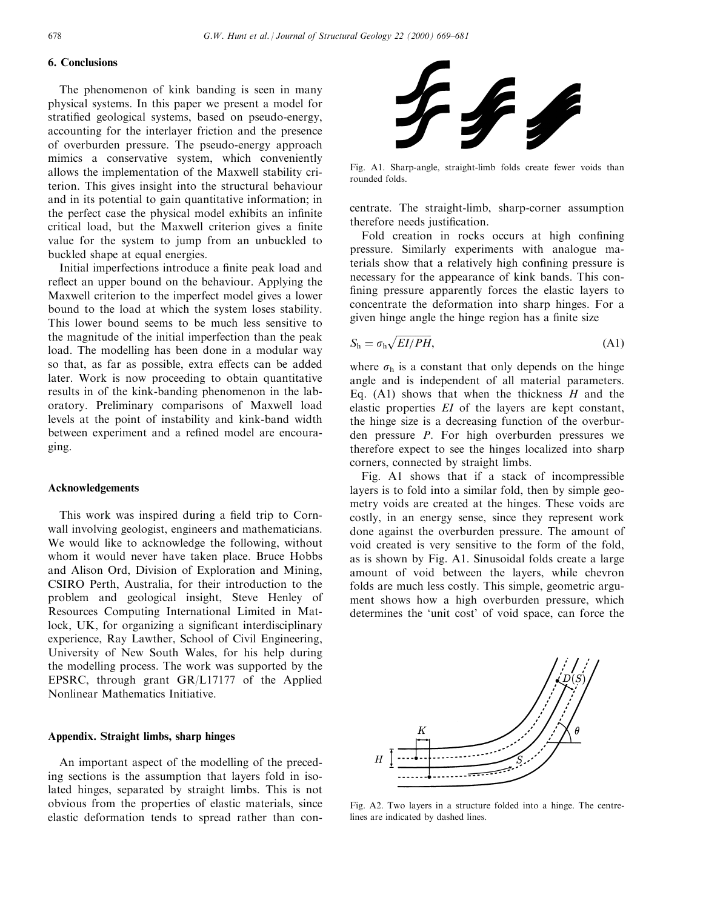# 6. Conclusions

The phenomenon of kink banding is seen in many physical systems. In this paper we present a model for stratified geological systems, based on pseudo-energy, accounting for the interlayer friction and the presence of overburden pressure. The pseudo-energy approach mimics a conservative system, which conveniently allows the implementation of the Maxwell stability criterion. This gives insight into the structural behaviour and in its potential to gain quantitative information; in the perfect case the physical model exhibits an infinite critical load, but the Maxwell criterion gives a finite value for the system to jump from an unbuckled to buckled shape at equal energies.

Initial imperfections introduce a finite peak load and reflect an upper bound on the behaviour. Applying the Maxwell criterion to the imperfect model gives a lower bound to the load at which the system loses stability. This lower bound seems to be much less sensitive to the magnitude of the initial imperfection than the peak load. The modelling has been done in a modular way so that, as far as possible, extra effects can be added later. Work is now proceeding to obtain quantitative results in of the kink-banding phenomenon in the laboratory. Preliminary comparisons of Maxwell load levels at the point of instability and kink-band width between experiment and a refined model are encouraging.

#### Acknowledgements

This work was inspired during a field trip to Cornwall involving geologist, engineers and mathematicians. We would like to acknowledge the following, without whom it would never have taken place. Bruce Hobbs and Alison Ord, Division of Exploration and Mining, CSIRO Perth, Australia, for their introduction to the problem and geological insight, Steve Henley of Resources Computing International Limited in Matlock, UK, for organizing a significant interdisciplinary experience, Ray Lawther, School of Civil Engineering, University of New South Wales, for his help during the modelling process. The work was supported by the EPSRC, through grant GR/L17177 of the Applied Nonlinear Mathematics Initiative.

# Appendix. Straight limbs, sharp hinges

An important aspect of the modelling of the preceding sections is the assumption that layers fold in isolated hinges, separated by straight limbs. This is not obvious from the properties of elastic materials, since elastic deformation tends to spread rather than con-



Fig. A1. Sharp-angle, straight-limb folds create fewer voids than rounded folds.

centrate. The straight-limb, sharp-corner assumption therefore needs justification.

Fold creation in rocks occurs at high confining pressure. Similarly experiments with analogue materials show that a relatively high confining pressure is necessary for the appearance of kink bands. This con fining pressure apparently forces the elastic layers to concentrate the deformation into sharp hinges. For a given hinge angle the hinge region has a finite size

$$
S_{\rm h} = \sigma_{\rm h} \sqrt{EI/PH},\tag{A1}
$$

where  $\sigma_h$  is a constant that only depends on the hinge angle and is independent of all material parameters. Eq.  $(A1)$  shows that when the thickness H and the elastic properties EI of the layers are kept constant, the hinge size is a decreasing function of the overburden pressure P. For high overburden pressures we therefore expect to see the hinges localized into sharp corners, connected by straight limbs.

Fig. A1 shows that if a stack of incompressible layers is to fold into a similar fold, then by simple geometry voids are created at the hinges. These voids are costly, in an energy sense, since they represent work done against the overburden pressure. The amount of void created is very sensitive to the form of the fold, as is shown by Fig. A1. Sinusoidal folds create a large amount of void between the layers, while chevron folds are much less costly. This simple, geometric argument shows how a high overburden pressure, which determines the `unit cost' of void space, can force the



Fig. A2. Two layers in a structure folded into a hinge. The centrelines are indicated by dashed lines.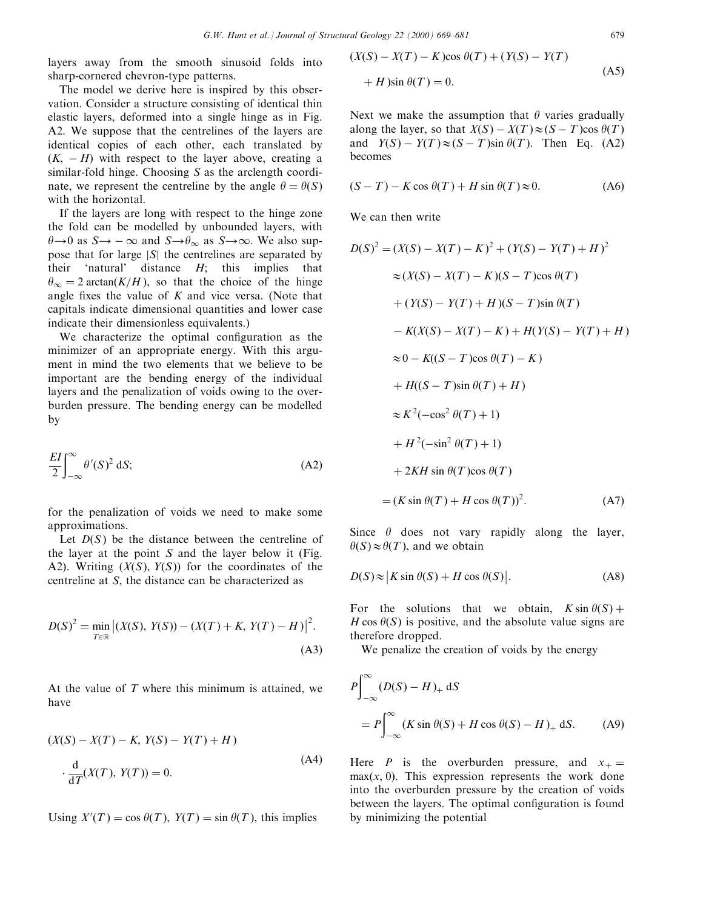layers away from the smooth sinusoid folds into sharp-cornered chevron-type patterns.

The model we derive here is inspired by this observation. Consider a structure consisting of identical thin elastic layers, deformed into a single hinge as in Fig. A2. We suppose that the centrelines of the layers are identical copies of each other, each translated by  $(K, -H)$  with respect to the layer above, creating a similar-fold hinge. Choosing S as the arclength coordinate, we represent the centreline by the angle  $\theta = \theta(S)$ with the horizontal.

If the layers are long with respect to the hinge zone the fold can be modelled by unbounded layers, with  $\theta \rightarrow 0$  as  $S \rightarrow -\infty$  and  $S \rightarrow \theta_{\infty}$  as  $S \rightarrow \infty$ . We also suppose that for large  $|S|$  the centrelines are separated by their 'natural' distance  $H$ ; this implies that  $\theta_{\infty}=2 \arctan(K/H)$ , so that the choice of the hinge angle fixes the value of  $K$  and vice versa. (Note that capitals indicate dimensional quantities and lower case indicate their dimensionless equivalents.)

We characterize the optimal configuration as the minimizer of an appropriate energy. With this argument in mind the two elements that we believe to be important are the bending energy of the individual layers and the penalization of voids owing to the overburden pressure. The bending energy can be modelled by

$$
\frac{EI}{2} \int_{-\infty}^{\infty} \theta'(S)^2 \, dS; \tag{A2}
$$

for the penalization of voids we need to make some approximations.

Let  $D(S)$  be the distance between the centreline of the layer at the point  $S$  and the layer below it (Fig. A2). Writing  $(X(S), Y(S))$  for the coordinates of the centreline at S, the distance can be characterized as

$$
D(S)^{2} = \min_{T \in \mathbb{R}} |(X(S), Y(S)) - (X(T) + K, Y(T) - H)|^{2}.
$$
\n(A3)

At the value of  $T$  where this minimum is attained, we have

$$
(X(S) - X(T) - K, Y(S) - Y(T) + H)
$$
  
\n
$$
\cdot \frac{d}{dT}(X(T), Y(T)) = 0.
$$
\n(A4)

Using  $X'(T) = \cos \theta(T)$ ,  $Y(T) = \sin \theta(T)$ , this implies

$$
(X(S) - X(T) - K)\cos\theta(T) + (Y(S) - Y(T)
$$
  
+ H)\sin\theta(T) = 0. (A5)

Next we make the assumption that  $\theta$  varies gradually along the layer, so that  $X(S) - X(T) \approx (S - T) \cos \theta(T)$ and  $Y(S) - Y(T) \approx (S - T) \sin \theta(T)$ . Then Eq. (A2) becomes

$$
(S - T) - K \cos \theta(T) + H \sin \theta(T) \approx 0. \tag{A6}
$$

We can then write

$$
D(S)^{2} = (X(S) - X(T) - K)^{2} + (Y(S) - Y(T) + H)^{2}
$$
  
\n
$$
\approx (X(S) - X(T) - K)(S - T)\cos \theta(T)
$$
  
\n
$$
+ (Y(S) - Y(T) + H)(S - T)\sin \theta(T)
$$
  
\n
$$
- K(X(S) - X(T) - K) + H(Y(S) - Y(T) + H)
$$
  
\n
$$
\approx 0 - K((S - T)\cos \theta(T) - K)
$$
  
\n
$$
+ H((S - T)\sin \theta(T) + H)
$$
  
\n
$$
\approx K^{2}(-\cos^{2} \theta(T) + 1)
$$
  
\n
$$
+ H^{2}(-\sin^{2} \theta(T) + 1)
$$
  
\n
$$
+ 2KH \sin \theta(T)\cos \theta(T)
$$
  
\n
$$
= (K \sin \theta(T) + H \cos \theta(T))^{2}.
$$
 (A7)

Since  $\theta$  does not vary rapidly along the layer,  $\theta(S) \approx \theta(T)$ , and we obtain

$$
D(S) \approx |K \sin \theta(S) + H \cos \theta(S)|. \tag{A8}
$$

For the solutions that we obtain,  $K \sin \theta(S)$  +  $H \cos \theta(S)$  is positive, and the absolute value signs are therefore dropped.

We penalize the creation of voids by the energy

$$
P\int_{-\infty}^{\infty} (D(S) - H)_+ dS
$$
  
= 
$$
P\int_{-\infty}^{\infty} (K \sin \theta(S) + H \cos \theta(S) - H)_+ dS.
$$
 (A9)

Here P is the overburden pressure, and  $x_+$  =  $max(x, 0)$ . This expression represents the work done into the overburden pressure by the creation of voids between the layers. The optimal configuration is found by minimizing the potential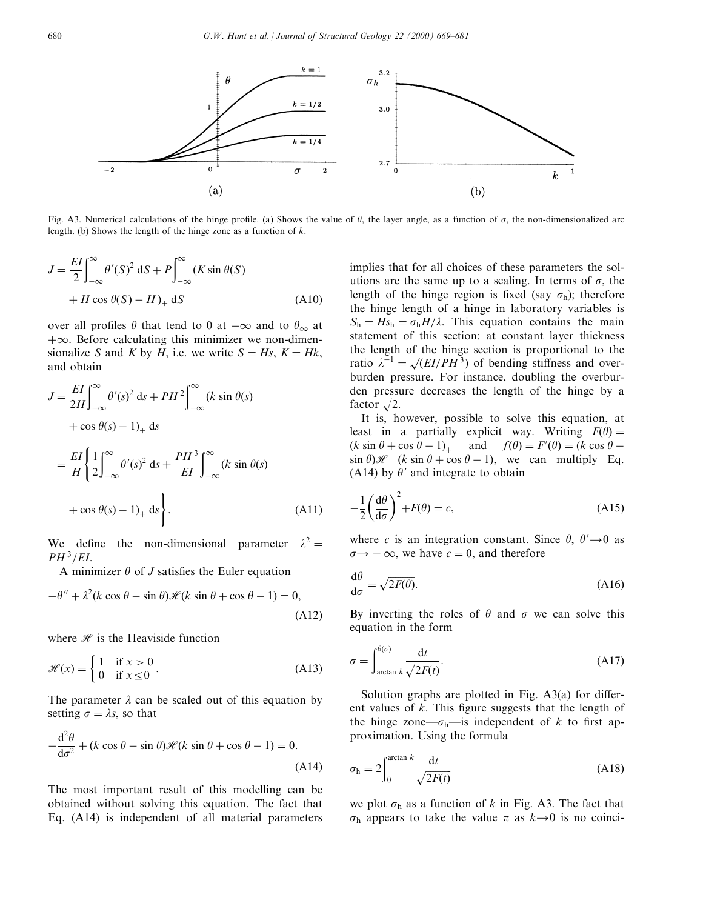

Fig. A3. Numerical calculations of the hinge profile. (a) Shows the value of  $\theta$ , the layer angle, as a function of  $\sigma$ , the non-dimensionalized arc length. (b) Shows the length of the hinge zone as a function of  $k$ .

$$
J = \frac{EI}{2} \int_{-\infty}^{\infty} \theta'(S)^2 dS + P \int_{-\infty}^{\infty} (K \sin \theta(S)
$$
  
+  $H \cos \theta(S) - H)_+$  dS (A10)

over all profiles  $\theta$  that tend to 0 at  $-\infty$  and to  $\theta_{\infty}$  at  $+\infty$ . Before calculating this minimizer we non-dimensionalize S and K by H, i.e. we write  $S = Hs$ ,  $K = Hk$ , and obtain

$$
J = \frac{EI}{2H} \int_{-\infty}^{\infty} \theta'(s)^2 ds + PH^2 \int_{-\infty}^{\infty} (k \sin \theta(s)
$$
  
+ cos  $\theta(s)$  – 1)<sub>+</sub> ds  
=  $\frac{EI}{H} \left\{ \frac{1}{2} \int_{-\infty}^{\infty} \theta'(s)^2 ds + \frac{PH^3}{EI} \int_{-\infty}^{\infty} (k \sin \theta(s)$   
+ cos  $\theta(s)$  – 1)<sub>+</sub> ds  
 (A11)

We define the non-dimensional parameter  $\lambda^2 =$  $PH^3/EL.$ 

A minimizer  $\theta$  of J satisfies the Euler equation

$$
-\theta'' + \lambda^2 (k \cos \theta - \sin \theta) \mathcal{H}(k \sin \theta + \cos \theta - 1) = 0,
$$
\n(A12)

where  $\mathcal{H}$  is the Heaviside function

$$
\mathcal{H}(x) = \begin{cases} 1 & \text{if } x > 0 \\ 0 & \text{if } x \le 0 \end{cases}.
$$
 (A13)

The parameter  $\lambda$  can be scaled out of this equation by setting  $\sigma = \lambda s$ , so that

$$
-\frac{d^2\theta}{d\sigma^2} + (k\cos\theta - \sin\theta)\mathcal{H}(k\sin\theta + \cos\theta - 1) = 0.
$$
\n(A14)

The most important result of this modelling can be obtained without solving this equation. The fact that Eq. (A14) is independent of all material parameters implies that for all choices of these parameters the solutions are the same up to a scaling. In terms of  $\sigma$ , the length of the hinge region is fixed (say  $\sigma_{h}$ ); therefore the hinge length of a hinge in laboratory variables is  $S_h = Hs_h = \sigma_h H/\lambda$ . This equation contains the main statement of this section: at constant layer thickness the length of the hinge section is proportional to the ratio  $\lambda^{-1} = \sqrt{\frac{EI}{PH^3}}$  of bending stiffness and overburden pressure. For instance, doubling the overburden pressure decreases the length of the hinge by a factor  $\sqrt{2}$ .

It is, however, possible to solve this equation, at least in a partially explicit way. Writing  $F(\theta) =$  $(k \sin \theta + \cos \theta - 1)_+$  and  $f(\theta) = F'(\theta) = (k \cos \theta - 1)_+$  $\sin \theta$ )  $\mathscr{H}$  (k sin  $\theta$  + cos  $\theta$  - 1), we can multiply Eq. (A14) by  $\theta'$  and integrate to obtain

$$
-\frac{1}{2}\left(\frac{d\theta}{d\sigma}\right)^2 + F(\theta) = c,\tag{A15}
$$

where c is an integration constant. Since  $\theta$ ,  $\theta' \rightarrow 0$  as  $\sigma \rightarrow -\infty$ , we have  $c = 0$ , and therefore

$$
\frac{\mathrm{d}\theta}{\mathrm{d}\sigma} = \sqrt{2F(\theta)}.\tag{A16}
$$

By inverting the roles of  $\theta$  and  $\sigma$  we can solve this equation in the form

$$
\sigma = \int_{\arctan k}^{\theta(\sigma)} \frac{\mathrm{d}t}{\sqrt{2F(t)}}.
$$
\n(A17)

Solution graphs are plotted in Fig.  $A3(a)$  for different values of  $k$ . This figure suggests that the length of the hinge zone— $\sigma_h$ —is independent of k to first approximation. Using the formula

$$
\sigma_{\rm h} = 2 \int_0^{\arctan k} \frac{\mathrm{d}t}{\sqrt{2F(t)}} \tag{A18}
$$

we plot  $\sigma_h$  as a function of k in Fig. A3. The fact that  $\sigma_{\rm h}$  appears to take the value  $\pi$  as  $k\rightarrow 0$  is no coinci